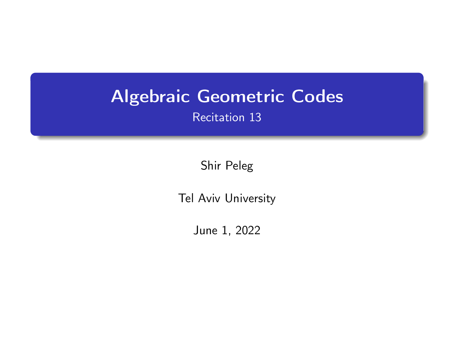# <span id="page-0-0"></span>Algebraic Geometric Codes

Recitation 13

Shir Peleg

Tel Aviv University

June 1, 2022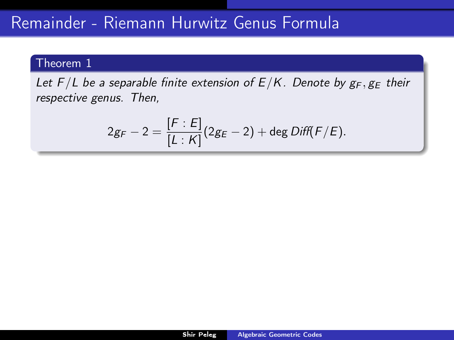# Remainder - Riemann Hurwitz Genus Formula

### Theorem 1

Let  $F/L$  be a separable finite extension of  $E/K$ . Denote by  $g_F, g_E$  their respective genus. Then,

<span id="page-1-0"></span>
$$
2g_F - 2 = \frac{[F : E]}{[L : K]} (2g_E - 2) + \deg Diff(F/E).
$$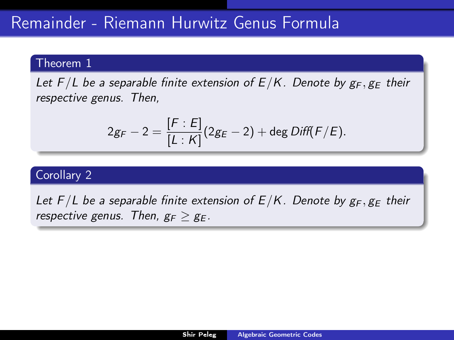Let  $F/L$  be a separable finite extension of  $E/K$ . Denote by  $g_F, g_E$  their respective genus. Then,

$$
2g_F - 2 = \frac{[F : E]}{[L : K]} (2g_E - 2) + \deg Diff(F/E).
$$

## Corollary 2

Let  $F/L$  be a separable finite extension of  $E/K$ . Denote by  $g_F$ ,  $g_F$  their respective genus. Then,  $g_F > g_F$ .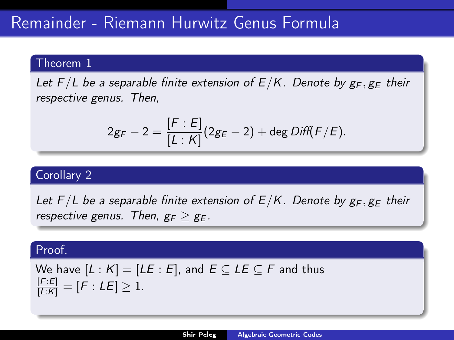Let  $F/L$  be a separable finite extension of  $E/K$ . Denote by  $g_F$ ,  $g_F$  their respective genus. Then,

$$
2g_F - 2 = \frac{[F : E]}{[L : K]} (2g_E - 2) + \deg Diff(F/E).
$$

## Corollary 2

Let  $F/L$  be a separable finite extension of  $E/K$ . Denote by  $g_F$ ,  $g_F$  their respective genus. Then,  $g_F > g_F$ .

### Proof.

We have 
$$
[L : K] = [LE : E]
$$
, and  $E \subseteq LE \subseteq F$  and thus  $\frac{[F:E]}{[L:K]} = [F : LE] \ge 1$ .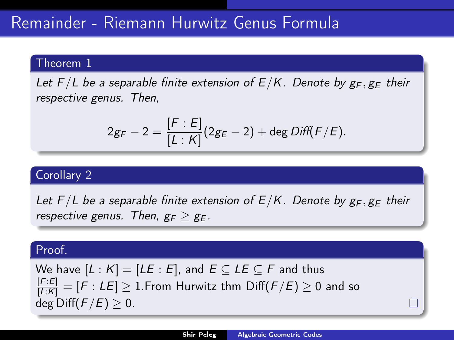Let  $F/L$  be a separable finite extension of  $E/K$ . Denote by  $g_F$ ,  $g_F$  their respective genus. Then,

$$
2g_F - 2 = \frac{[F : E]}{[L : K]} (2g_E - 2) + \deg Diff(F/E).
$$

## Corollary 2

Let  $F/L$  be a separable finite extension of  $E/K$ . Denote by  $g_F$ ,  $g_F$  their respective genus. Then,  $g_F > g_F$ .

#### Proof.

We have  $[L : K] = [LE : E]$ , and  $E \subseteq LE \subseteq F$  and thus  $\frac{[F:E]}{[L:K]} = [F:LE] \geq 1.$ From Hurwitz thm  $\mathrm{Diff}(F/E) \geq 0$  and so deg Diff $(F/E) > 0$ .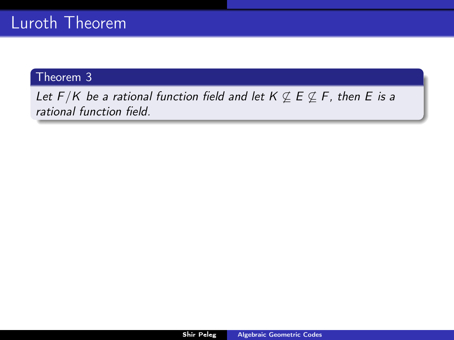Let  $F/K$  be a rational function field and let  $K \not\subseteq E \not\subseteq F$ , then E is a rational function field.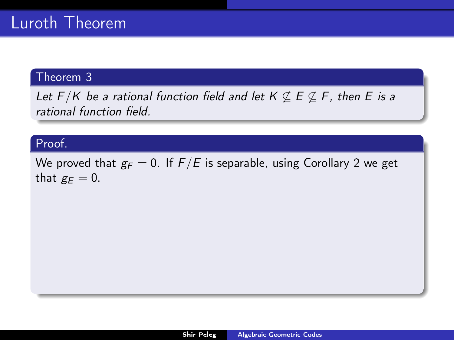Let  $F/K$  be a rational function field and let  $K \nsubseteq E \nsubseteq F$ , then E is a rational function field.

# Proof.

We proved that  $g_F = 0$ . If  $F/E$  is separable, using Corollary [2](#page-1-0) we get that  $g_E = 0$ .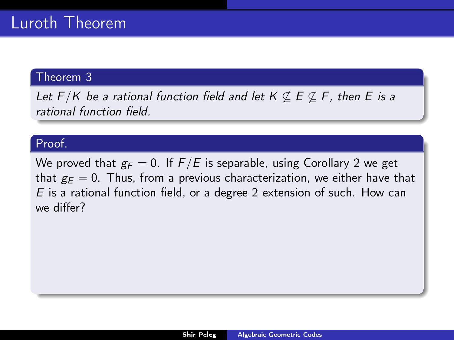Let  $F/K$  be a rational function field and let  $K \not\subseteq E \not\subseteq F$ , then E is a rational function field.

# Proof.

We proved that  $g_F = 0$ . If  $F/E$  is separable, using Corollary [2](#page-1-0) we get that  $g_F = 0$ . Thus, from a previous characterization, we either have that E is a rational function field, or a degree 2 extension of such. How can we differ?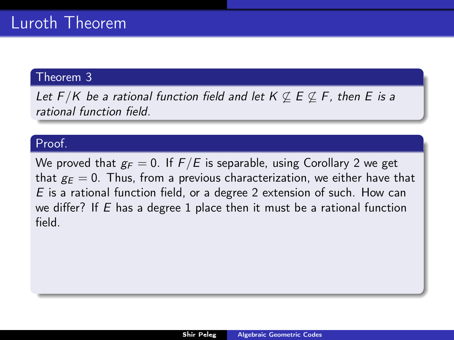Let  $F/K$  be a rational function field and let  $K \not\subseteq E \not\subseteq F$ , then E is a rational function field.

# Proof.

We proved that  $g_F = 0$ . If  $F/E$  is separable, using Corollary [2](#page-1-0) we get that  $g_F = 0$ . Thus, from a previous characterization, we either have that E is a rational function field, or a degree 2 extension of such. How can we differ? If  $E$  has a degree 1 place then it must be a rational function field.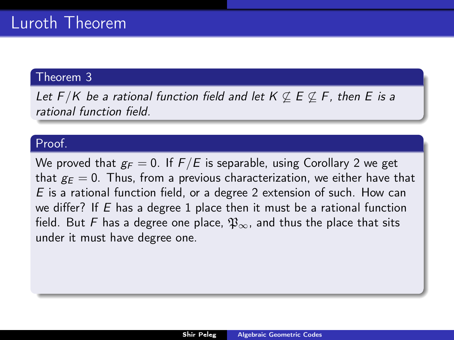Let  $F/K$  be a rational function field and let  $K \not\subseteq E \not\subseteq F$ , then E is a rational function field.

# Proof.

We proved that  $g_F = 0$ . If  $F/E$  is separable, using Corollary [2](#page-1-0) we get that  $g_F = 0$ . Thus, from a previous characterization, we either have that E is a rational function field, or a degree 2 extension of such. How can we differ? If  $E$  has a degree 1 place then it must be a rational function field. But F has a degree one place,  $\mathfrak{P}_{\infty}$ , and thus the place that sits under it must have degree one.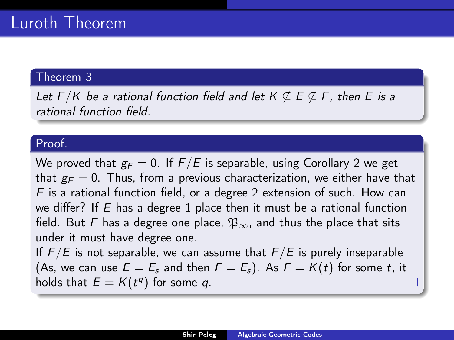Let  $F/K$  be a rational function field and let  $K \not\subseteq E \not\subseteq F$ , then E is a rational function field.

# Proof.

We proved that  $g_F = 0$ . If  $F/E$  is separable, using Corollary [2](#page-1-0) we get that  $g_F = 0$ . Thus, from a previous characterization, we either have that E is a rational function field, or a degree 2 extension of such. How can we differ? If  $E$  has a degree 1 place then it must be a rational function field. But F has a degree one place,  $\mathfrak{P}_{\infty}$ , and thus the place that sits under it must have degree one. If  $F/E$  is not separable, we can assume that  $F/E$  is purely inseparable (As, we can use  $E = E_s$  and then  $F = E_s$ ). As  $F = K(t)$  for some t, it

holds that  $E = K(t^q)$  for some q.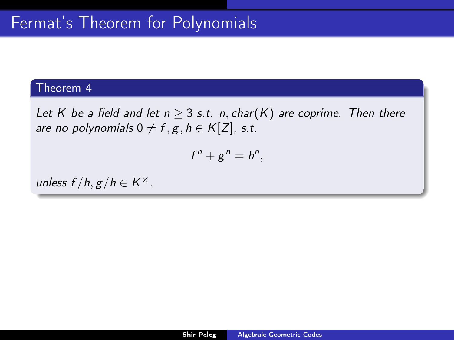<span id="page-11-0"></span>Let K be a field and let  $n \geq 3$  s.t. n, char(K) are coprime. Then there are no polynomials  $0 \neq f, g, h \in K[Z]$ , s.t.

$$
f^n+g^n=h^n,
$$

unless  $f/h, g/h \in K^{\times}$ .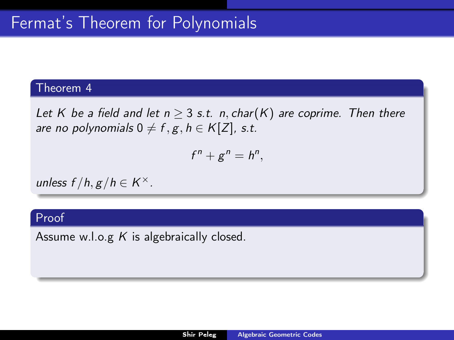Let K be a field and let  $n \geq 3$  s.t. n, char(K) are coprime. Then there are no polynomials  $0 \neq f, g, h \in K[Z]$ , s.t.

$$
f^n+g^n=h^n,
$$

unless  $f/h, g/h \in K^{\times}$ .

# Proof

Assume w.l.o.g  $K$  is algebraically closed.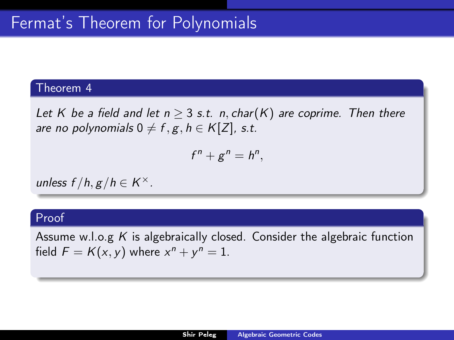Let K be a field and let  $n \geq 3$  s.t. n, char(K) are coprime. Then there are no polynomials  $0 \neq f, g, h \in K[Z]$ , s.t.

$$
f^n+g^n=h^n,
$$

unless  $f/h, g/h \in K^{\times}$ .

### Proof

Assume w.l.o.g  $K$  is algebraically closed. Consider the algebraic function field  $F = K(x, y)$  where  $x^n + y^n = 1$ .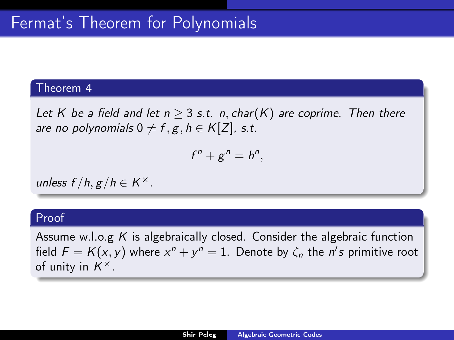Let K be a field and let  $n \geq 3$  s.t. n, char(K) are coprime. Then there are no polynomials  $0 \neq f, g, h \in K[Z]$ , s.t.

$$
f^n+g^n=h^n,
$$

unless  $f/h, g/h \in K^{\times}$ .

### Proof

Assume w.l.o.g  $K$  is algebraically closed. Consider the algebraic function field  $F = K(x, y)$  where  $x^n + y^n = 1$ . Denote by  $\zeta_n$  the n's primitive root of unity in  $K^{\times}$ .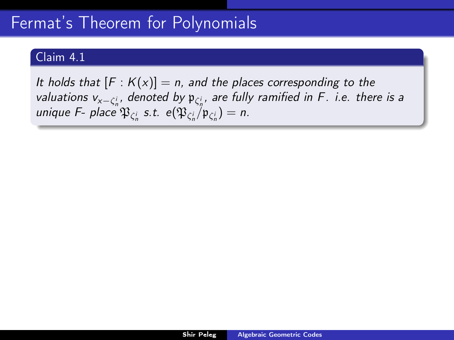# Claim 4.1

<span id="page-15-0"></span>It holds that  $[F: K(x)] = n$ , and the places corresponding to the valuations v<sub>x− $\zeta_n^i$ , denoted by  $\mathfrak{p}_{\zeta_n^i}$ , are fully ramified in F. i.e. there is a</sub> unique F- place  $\mathfrak{P}_{\zeta_n^i}$  s.t.  $e(\mathfrak{P}_{\zeta_n^i}/\mathfrak{p}_{\zeta_n^i})=n$ .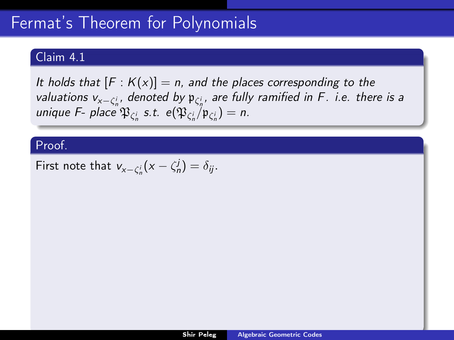# Claim 4.1

It holds that  $[F: K(x)] = n$ , and the places corresponding to the valuations v<sub>x− $\zeta_n^i$ , denoted by  $\mathfrak{p}_{\zeta_n^i}$ , are fully ramified in F. i.e. there is a</sub> unique F- place  $\mathfrak{P}_{\zeta_n^i}$  s.t.  $e(\mathfrak{P}_{\zeta_n^i}/\mathfrak{p}_{\zeta_n^i})=n$ .

### Proof.

First note that  $v_{x-\zeta_n^i}(x-\zeta_n^j)=\delta_{ij}$ .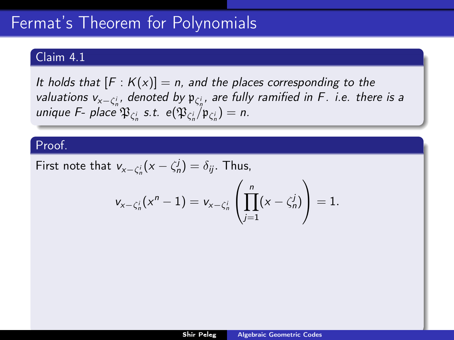# Claim 4.1

It holds that  $[F: K(x)] = n$ , and the places corresponding to the valuations v<sub>x− $\zeta_n^i$ , denoted by  $\mathfrak{p}_{\zeta_n^i}$ , are fully ramified in F. i.e. there is a</sub> unique F- place  $\mathfrak{P}_{\zeta_n^i}$  s.t.  $e(\mathfrak{P}_{\zeta_n^i}/\mathfrak{p}_{\zeta_n^i})=n$ .

### Proof.

First note that  $v_{x-\zeta_n^i}(x-\zeta_n^j)=\delta_{ij}$ . Thus,

$$
v_{x-\zeta_n^i}(x^n-1)=v_{x-\zeta_n^i}\left(\prod_{j=1}^n(x-\zeta_n^j)\right)=1.
$$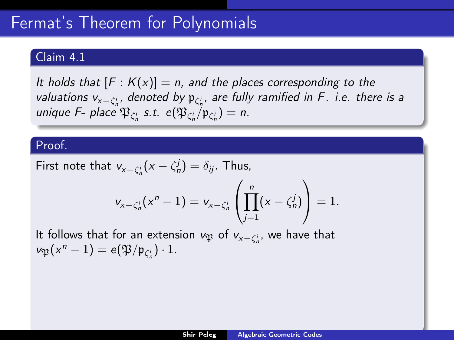### Claim 4.1

It holds that  $[F: K(x)] = n$ , and the places corresponding to the valuations v<sub>x− $\zeta_n^i$ , denoted by  $\mathfrak{p}_{\zeta_n^i}$ , are fully ramified in F. i.e. there is a</sub> unique F- place  $\mathfrak{P}_{\zeta_n^i}$  s.t.  $e(\mathfrak{P}_{\zeta_n^i}/\mathfrak{p}_{\zeta_n^i})=n$ .

### Proof.

First note that 
$$
v_{x-\zeta_n^i}(x-\zeta_n^j) = \delta_{ij}
$$
. Thus,

$$
v_{x-\zeta_n^i}(x^n-1)=v_{x-\zeta_n^i}\left(\prod_{j=1}^n(x-\zeta_n^j)\right)=1.
$$

It follows that for an extension  $v_{\mathfrak{P}}$  of  $v_{x-\zeta_n^i}$ , we have that  $v_{\mathfrak{P}}(x^n-1)=e(\mathfrak{P}/\mathfrak{p}_{\zeta_n^i})\cdot 1.$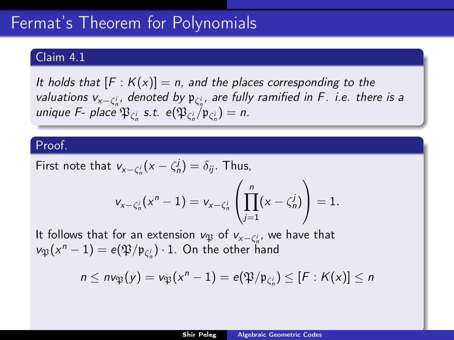### Claim 4.1

It holds that  $[F: K(x)] = n$ , and the places corresponding to the valuations v<sub>x− $\zeta_n^i$ , denoted by  $\mathfrak{p}_{\zeta_n^i}$ , are fully ramified in F. i.e. there is a</sub> unique F- place  $\mathfrak{P}_{\zeta_n^i}$  s.t.  $e(\mathfrak{P}_{\zeta_n^i}/\mathfrak{p}_{\zeta_n^i})=n$ .

#### Proof.

First note that 
$$
v_{x-\zeta_n^i}(x-\zeta_n^j) = \delta_{ij}
$$
. Thus,

$$
v_{x-\zeta_n^i}(x^n-1)=v_{x-\zeta_n^i}\left(\prod_{j=1}^n(x-\zeta_n^j)\right)=1.
$$

It follows that for an extension  $v_{\mathfrak{P}}$  of  $v_{\mathsf{x}-\zeta_n^i}$ , we have that  $\nu_{\mathfrak{P}}(x^n-1)=e(\mathfrak{P}/\mathfrak{p}_{\zeta_n^i})\cdot 1.$  On the other hand

$$
n \leq n \nu_{\mathfrak{P}}(y) = \nu_{\mathfrak{P}}(x^n - 1) = e(\mathfrak{P}/\mathfrak{p}_{\zeta_n^i}) \leq [F:K(x)] \leq n
$$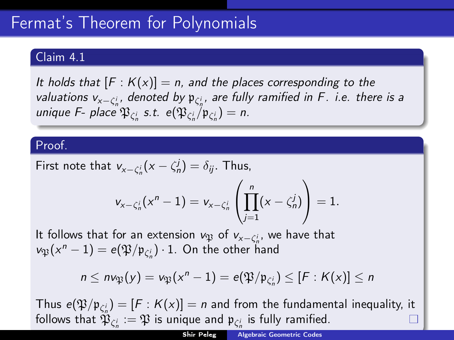## Claim 4.1

It holds that  $[F: K(x)] = n$ , and the places corresponding to the valuations v<sub>x− $\zeta_n^i$ , denoted by  $\mathfrak{p}_{\zeta_n^i}$ , are fully ramified in F. i.e. there is a</sub> unique F- place  $\mathfrak{P}_{\zeta_n^i}$  s.t.  $e(\mathfrak{P}_{\zeta_n^i}/\mathfrak{p}_{\zeta_n^i})=n$ .

### Proof.

First note that 
$$
v_{x-\zeta_n^i}(x-\zeta_n^j) = \delta_{ij}
$$
. Thus,

$$
v_{x-\zeta_n^i}(x^n-1) = v_{x-\zeta_n^i}\left(\prod_{j=1}^n (x-\zeta_n^j)\right) = 1.
$$

It follows that for an extension  $v_{\mathfrak{P}}$  of  $v_{\mathsf{x}-\zeta_n^i}$ , we have that  $\nu_{\mathfrak{P}}(x^n-1)=e(\mathfrak{P}/\mathfrak{p}_{\zeta_n^i})\cdot 1.$  On the other hand

$$
n \leq n \nu_{\mathfrak{P}}(y) = \nu_{\mathfrak{P}}(x^n - 1) = e(\mathfrak{P}/\mathfrak{p}_{\zeta_n^i}) \leq [F:K(x)] \leq n
$$

Thus  $e(\mathfrak{P}/\mathfrak{p}_{\zeta_n^i}) = [F : K(x)] = n$  and from the fundamental inequality, it follows that  $\mathfrak{P}_{\zeta_n^i}:=\mathfrak{P}$  is unique and  $\mathfrak{p}_{\zeta_n^i}$  is fully ramified.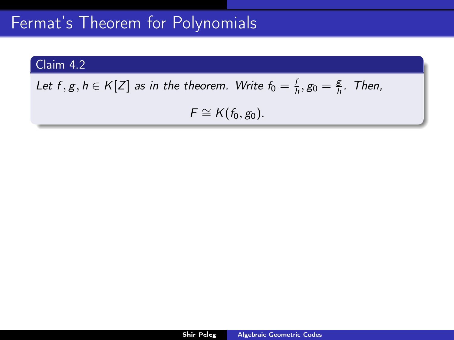# Claim 4.2

Let  $f, g, h \in K[Z]$  as in the theorem. Write  $f_0 = \frac{f}{h}, g_0 = \frac{g}{h}$ . Then,

 $F \cong K(f_0, g_0).$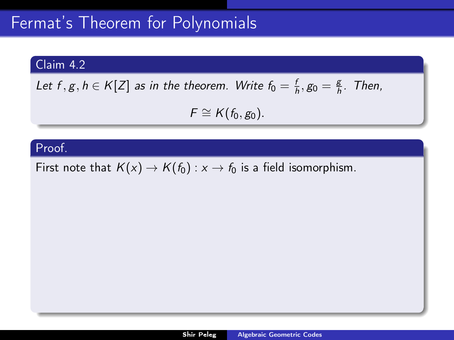# Claim 4.2

Let 
$$
f, g, h \in K[Z]
$$
 as in the theorem. Write  $f_0 = \frac{f}{h}, g_0 = \frac{g}{h}$ . Then,

 $F \cong K(f_0, g_0).$ 

# Proof.

First note that  $K(x) \to K(f_0) : x \to f_0$  is a field isomorphism.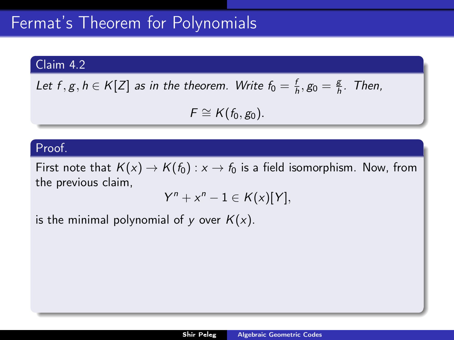# Claim 4.2

Let 
$$
f, g, h \in K[Z]
$$
 as in the theorem. Write  $f_0 = \frac{f}{h}, g_0 = \frac{g}{h}$ . Then,

 $F \cong K(f_0, g_0).$ 

#### Proof.

First note that  $K(x) \to K(f_0) : x \to f_0$  is a field isomorphism. Now, from the previous claim,

 $Y^{n} + x^{n} - 1 \in K(x)[Y],$ 

is the minimal polynomial of y over  $K(x)$ .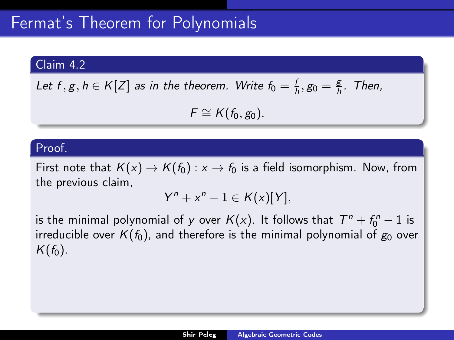### Claim 4.2

Let 
$$
f, g, h \in K[Z]
$$
 as in the theorem. Write  $f_0 = \frac{f}{h}, g_0 = \frac{g}{h}$ . Then,

 $F \cong K(f_0, g_0).$ 

#### Proof.

First note that  $K(x) \to K(f_0) : x \to f_0$  is a field isomorphism. Now, from the previous claim,

 $Y^{n} + x^{n} - 1 \in K(x)[Y],$ 

is the minimal polynomial of y over  $\mathcal{K}(x)$ . It follows that  $\mathcal{T}^n + \mathit{f}_0^n - 1$  is irreducible over  $K(f_0)$ , and therefore is the minimal polynomial of  $g_0$  over  $K(f_0)$ .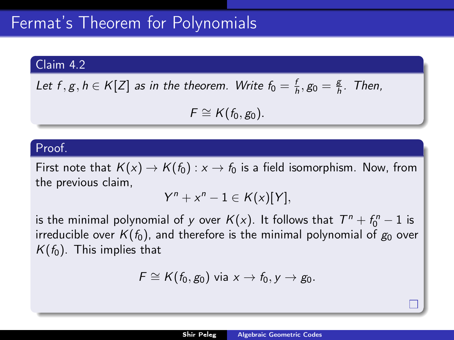# Claim 4.2

Let 
$$
f, g, h \in K[Z]
$$
 as in the theorem. Write  $f_0 = \frac{f}{h}, g_0 = \frac{g}{h}$ . Then,

 $F \cong K(f_0, g_0).$ 

#### Proof.

First note that  $K(x) \to K(f_0) : x \to f_0$  is a field isomorphism. Now, from the previous claim,

$$
Y^n + x^n - 1 \in K(x)[Y],
$$

is the minimal polynomial of y over  $\mathcal{K}(x)$ . It follows that  $\mathcal{T}^n + \mathit{f}_0^n - 1$  is irreducible over  $K(f_0)$ , and therefore is the minimal polynomial of  $g_0$  over  $K(f_0)$ . This implies that

$$
F \cong K(f_0,g_0) \text{ via } x \to f_0, y \to g_0.
$$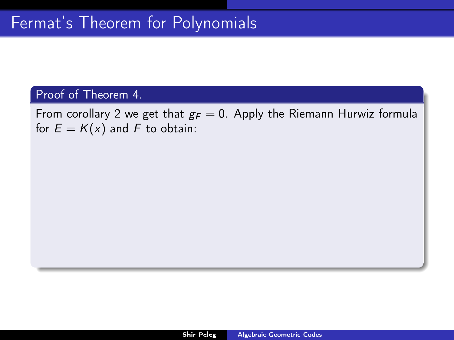From corollary [2](#page-1-0) we get that  $g_F = 0$ . Apply the Riemann Hurwiz formula for  $E = K(x)$  and F to obtain: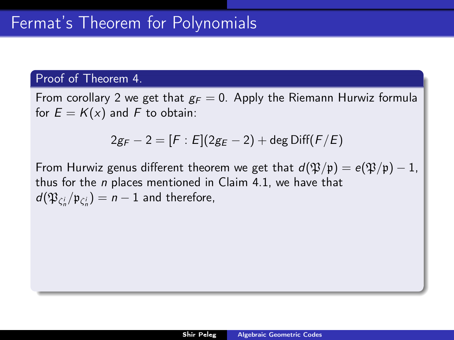From corollary [2](#page-1-0) we get that  $g_F = 0$ . Apply the Riemann Hurwiz formula for  $E = K(x)$  and F to obtain:

$$
2g_F - 2 = [F : E](2g_E - 2) + \deg \text{Diff}(F/E)
$$

From Hurwiz genus different theorem we get that  $d(\mathfrak{P}/\mathfrak{p}) = e(\mathfrak{P}/\mathfrak{p}) - 1$ , thus for the n places mentioned in Claim [4.1,](#page-15-0) we have that  $d(\mathfrak{P}_{\zeta_n^i}/\mathfrak{p}_{\zeta_n^i})=n-1$  and therefore,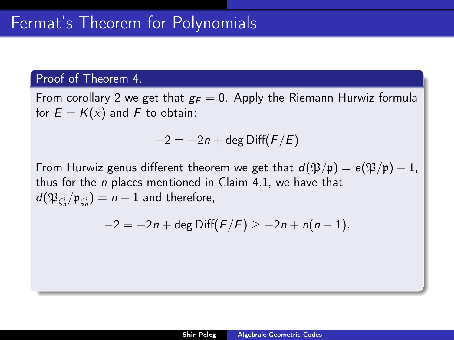From corollary [2](#page-1-0) we get that  $g_F = 0$ . Apply the Riemann Hurwiz formula for  $E = K(x)$  and F to obtain:

$$
-2 = -2n + \deg \text{Diff}(F/E)
$$

From Hurwiz genus different theorem we get that  $d(\mathfrak{P}/\mathfrak{p}) = e(\mathfrak{P}/\mathfrak{p}) - 1$ , thus for the  $n$  places mentioned in Claim [4.1,](#page-15-0) we have that  $d(\mathfrak{P}_{\zeta_n^i}/\mathfrak{p}_{\zeta_n^i})=n-1$  and therefore,

$$
-2 = -2n + \deg \text{Diff}(F/E) \ge -2n + n(n-1),
$$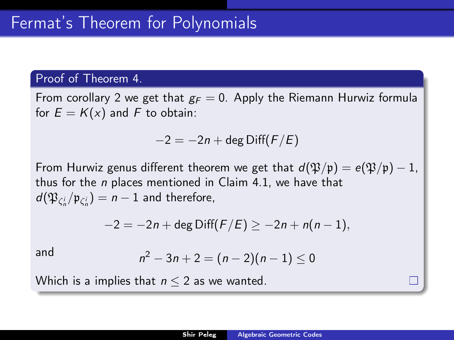From corollary [2](#page-1-0) we get that  $g_F = 0$ . Apply the Riemann Hurwiz formula for  $E = K(x)$  and F to obtain:

$$
-2 = -2n + \deg \text{Diff}(F/E)
$$

From Hurwiz genus different theorem we get that  $d(\mathfrak{P}/\mathfrak{p}) = e(\mathfrak{P}/\mathfrak{p}) - 1$ , thus for the n places mentioned in Claim [4.1,](#page-15-0) we have that  $d(\mathfrak{P}_{\zeta_n^i}/\mathfrak{p}_{\zeta_n^i})=n-1$  and therefore,

$$
-2 = -2n + \deg \text{Diff}(F/E) \ge -2n + n(n-1),
$$

and

$$
n^2-3n+2=(n-2)(n-1)\leq 0
$$

Which is a implies that  $n \leq 2$  as we wanted.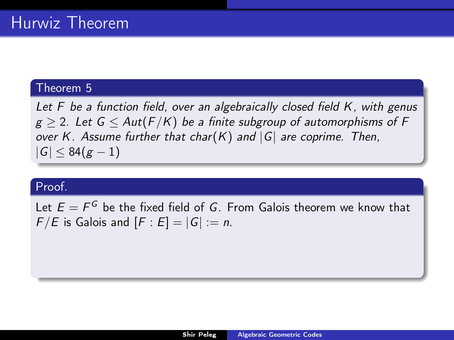Let F be a function field, over an algebraically closed field K, with genus  $g > 2$ . Let  $G < Aut(F/K)$  be a finite subgroup of automorphisms of F over K. Assume further that char(K) and  $|G|$  are coprime. Then,  $|G| < 84(g-1)$ 

# Proof.

Let  $E=F^G$  be the fixed field of  $G.$  From Galois theorem we know that  $F/E$  is Galois and  $[F : E] = |G| := n$ .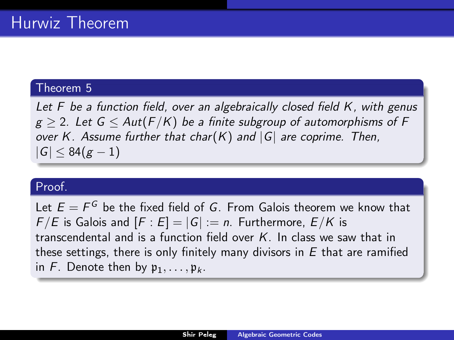Let F be a function field, over an algebraically closed field K, with genus  $g \ge 2$ . Let  $G \le Aut(F/K)$  be a finite subgroup of automorphisms of F over K. Assume further that char(K) and  $|G|$  are coprime. Then,  $|G| < 84(g-1)$ 

# Proof.

Let  $E=F^G$  be the fixed field of  $G.$  From Galois theorem we know that  $F/E$  is Galois and  $[F : E] = |G| := n$ . Furthermore,  $E/K$  is transcendental and is a function field over  $K$ . In class we saw that in these settings, there is only finitely many divisors in  $E$  that are ramified in F. Denote then by  $\mathfrak{p}_1, \ldots, \mathfrak{p}_k$ .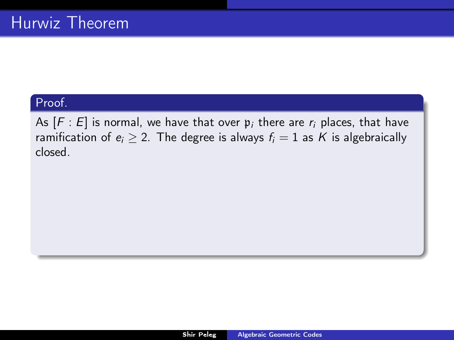As  $[F : E]$  is normal, we have that over  $\mathfrak{p}_i$  there are  $r_i$  places, that have ramification of  $e_i \geq 2$ . The degree is always  $f_i = 1$  as K is algebraically closed.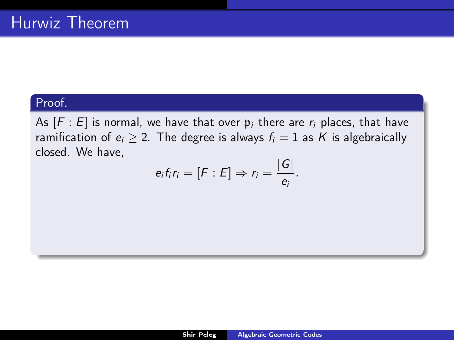As  $[F : E]$  is normal, we have that over  $p_i$  there are  $r_i$  places, that have ramification of  $e_i \geq 2$ . The degree is always  $f_i = 1$  as K is algebraically closed. We have,

$$
e_i f_i r_i = [F : E] \Rightarrow r_i = \frac{|G|}{e_i}.
$$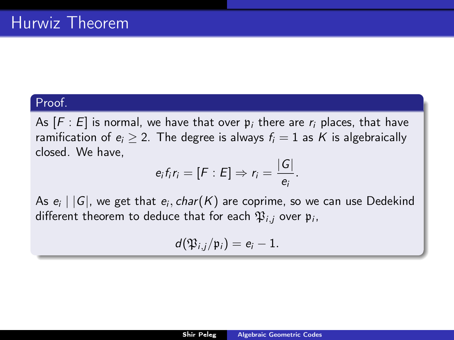As  $[F : E]$  is normal, we have that over  $p_i$  there are  $r_i$  places, that have ramification of  $e_i \geq 2$ . The degree is always  $f_i = 1$  as K is algebraically closed. We have,

$$
e_i f_i r_i = [F : E] \Rightarrow r_i = \frac{|G|}{e_i}.
$$

As  $e_i \mid |G|$ , we get that  $e_i, char(K)$  are coprime, so we can use Dedekind different theorem to deduce that for each  $\mathfrak{P}_{i,j}$  over  $\mathfrak{p}_{i},$ 

$$
d(\mathfrak{P}_{i,j}/\mathfrak{p}_i)=e_i-1.
$$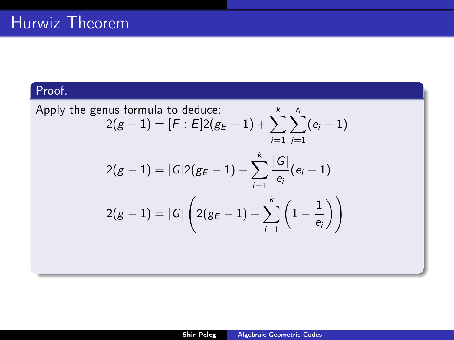Apply the genus formula to deduce:  
\n
$$
2(g-1) = [F : E]2(g_E - 1) + \sum_{i=1}^{k} \sum_{j=1}^{r_i} (e_i - 1)
$$
\n
$$
2(g-1) = |G|2(g_E - 1) + \sum_{i=1}^{k} \frac{|G|}{e_i} (e_i - 1)
$$
\n
$$
2(g-1) = |G| \left( 2(g_E - 1) + \sum_{i=1}^{k} \left( 1 - \frac{1}{e_i} \right) \right)
$$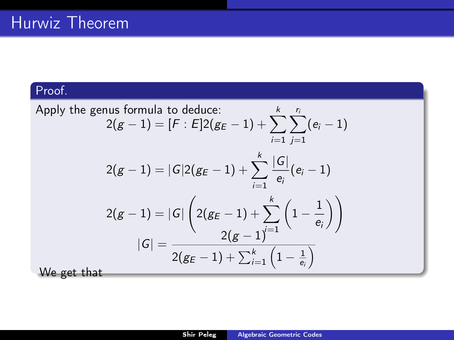Apply the genus formula to deduce:  
\n
$$
2(g-1) = [F : E]2(g_E - 1) + \sum_{i=1}^{k} \sum_{j=1}^{r_i} (e_i - 1)
$$
\n
$$
2(g-1) = |G|2(g_E - 1) + \sum_{i=1}^{k} \frac{|G|}{e_i} (e_i - 1)
$$
\n
$$
2(g-1) = |G| \left( 2(g_E - 1) + \sum_{i=1}^{k} \left( 1 - \frac{1}{e_i} \right) \right)
$$
\n
$$
|G| = \frac{2(g-1)^{i-1}}{2(g_E - 1) + \sum_{i=1}^{k} \left( 1 - \frac{1}{e_i} \right)}
$$
\nWe get that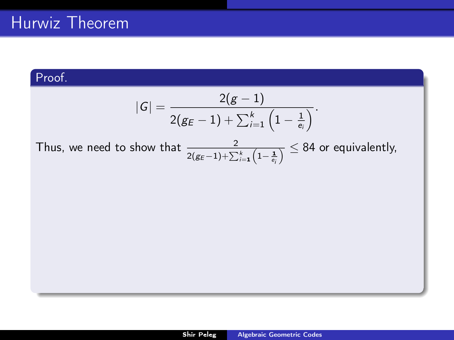$$
|G| = \frac{2(g-1)}{2(g_E-1) + \sum_{i=1}^k \left(1 - \frac{1}{e_i}\right)}.
$$

Thus, we need to show that  $\frac{2}{2(g_E-1)+\sum_{i=1}^k \left(1-\frac{1}{e_i}\right)} \leq 84$  or equivalently,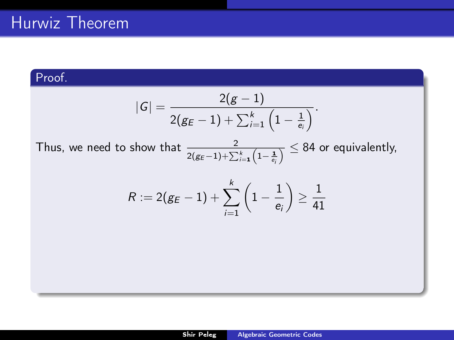$$
|\mathcal{G}|=\frac{2(g-1)}{2(g_E-1)+\sum_{i=1}^k\left(1-\frac{1}{e_i}\right)}.
$$

Thus, we need to show that  $\frac{2}{2(g_E-1)+\sum_{i=1}^k \left(1-\frac{1}{e_i}\right)} \leq 84$  or equivalently,

$$
R:=2(g_E-1)+\sum_{i=1}^k\left(1-\frac{1}{e_i}\right)\geq\frac{1}{41}
$$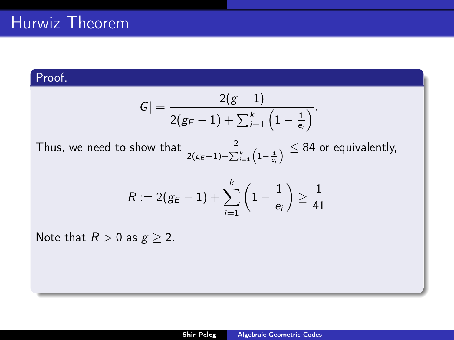$$
|\mathcal{G}|=\frac{2(g-1)}{2(g_E-1)+\sum_{i=1}^k\left(1-\frac{1}{e_i}\right)}.
$$

Thus, we need to show that  $\frac{2}{2(g_E-1)+\sum_{i=1}^k \left(1-\frac{1}{e_i}\right)} \leq 84$  or equivalently,

$$
R:=2(g_E-1)+\sum_{i=1}^k\left(1-\frac{1}{e_i}\right)\geq\frac{1}{41}
$$

Note that  $R > 0$  as  $g \geq 2$ .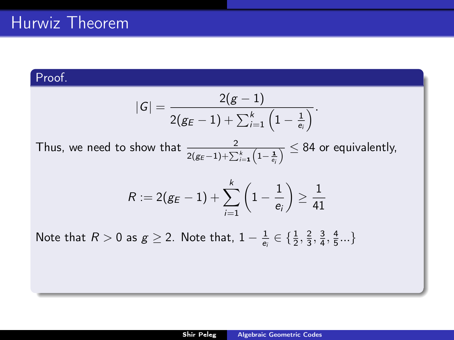$$
|\mathcal{G}|=\frac{2(g-1)}{2(g_E-1)+\sum_{i=1}^k\left(1-\frac{1}{e_i}\right)}.
$$

Thus, we need to show that  $\frac{2}{2(g_E-1)+\sum_{i=1}^k \left(1-\frac{1}{e_i}\right)} \leq 84$  or equivalently,

$$
R:=2(g_E-1)+\sum_{i=1}^k\left(1-\frac{1}{e_i}\right)\geq\frac{1}{41}
$$

Note that  $R > 0$  as  $g \ge 2$ . Note that,  $1 - \frac{1}{e_i} \in \{\frac{1}{2}, \frac{2}{3}, \frac{3}{4}, \frac{4}{5}...\}$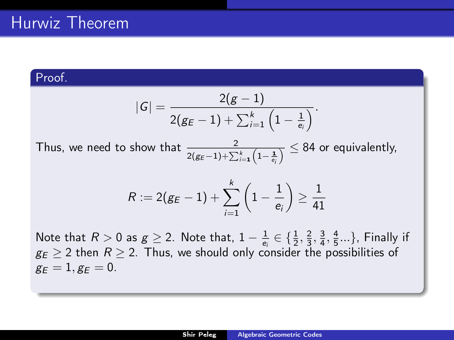$$
|\mathcal{G}|=\frac{2(g-1)}{2(g_E-1)+\sum_{i=1}^k\left(1-\frac{1}{e_i}\right)}.
$$

Thus, we need to show that  $\frac{2}{2(g_E-1)+\sum_{i=1}^k \left(1-\frac{1}{e_i}\right)} \leq 84$  or equivalently,

$$
R:=2(g_E-1)+\sum_{i=1}^k\left(1-\frac{1}{e_i}\right)\geq\frac{1}{41}
$$

Note that  $R > 0$  as  $g \ge 2$ . Note that,  $1 - \frac{1}{e_i} \in \{\frac{1}{2}, \frac{2}{3}, \frac{3}{4}, \frac{4}{5}...\}$ , Finally if  $g_E > 2$  then  $R > 2$ . Thus, we should only consider the possibilities of  $g_E = 1, g_E = 0.$